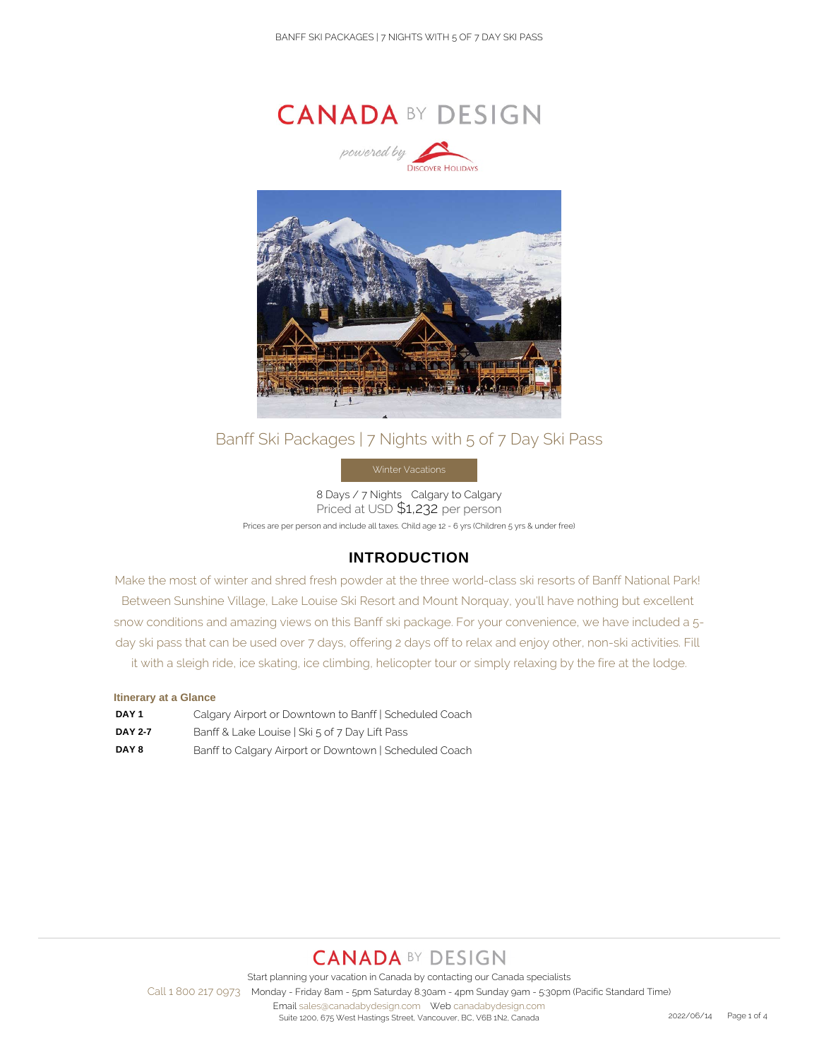



## Banff Ski Packages | 7 Nights with 5 of 7 Day Ski Pass

8 Days / 7 Nights Calgary to Calgary Priced at USD \$1,232 per person Prices are per person and include all taxes. Child age 12 - 6 yrs (Children 5 yrs & under free)

## **INTRODUCTION**

Make the most of winter and shred fresh powder at the three world-class ski resorts of Banff National Park! Between Sunshine Village, Lake Louise Ski Resort and Mount Norquay, you'll have nothing but excellent snow conditions and amazing views on this Banff ski package. For your convenience, we have included a 5 day ski pass that can be used over 7 days, offering 2 days off to relax and enjoy other, non-ski activities. Fill it with a sleigh ride, ice skating, ice climbing, helicopter tour or simply relaxing by the fire at the lodge.

### **Itinerary at a Glance**

| DAY <sub>1</sub> | Calgary Airport or Downtown to Banff   Scheduled Coach |
|------------------|--------------------------------------------------------|
| <b>DAY 2-7</b>   | Banff & Lake Louise   Ski 5 of 7 Day Lift Pass         |
| DAY 8            | Banff to Calgary Airport or Downtown   Scheduled Coach |

# **CANADA BY DESIGN**

Start planning your vacation in Canada by contacting our Canada specialists

Call 1 800 217 0973 Monday - Friday 8am - 5pm Saturday 8.30am - 4pm Sunday 9am - 5:30pm (Pacific Standard Time)

Email sales@canadabydesign.com Web canadabydesign.com Suite 1200, 675 West Hastings Street, Vancouver, BC, V6B 1N2, Canada 2022/06/14 Page 1 of 4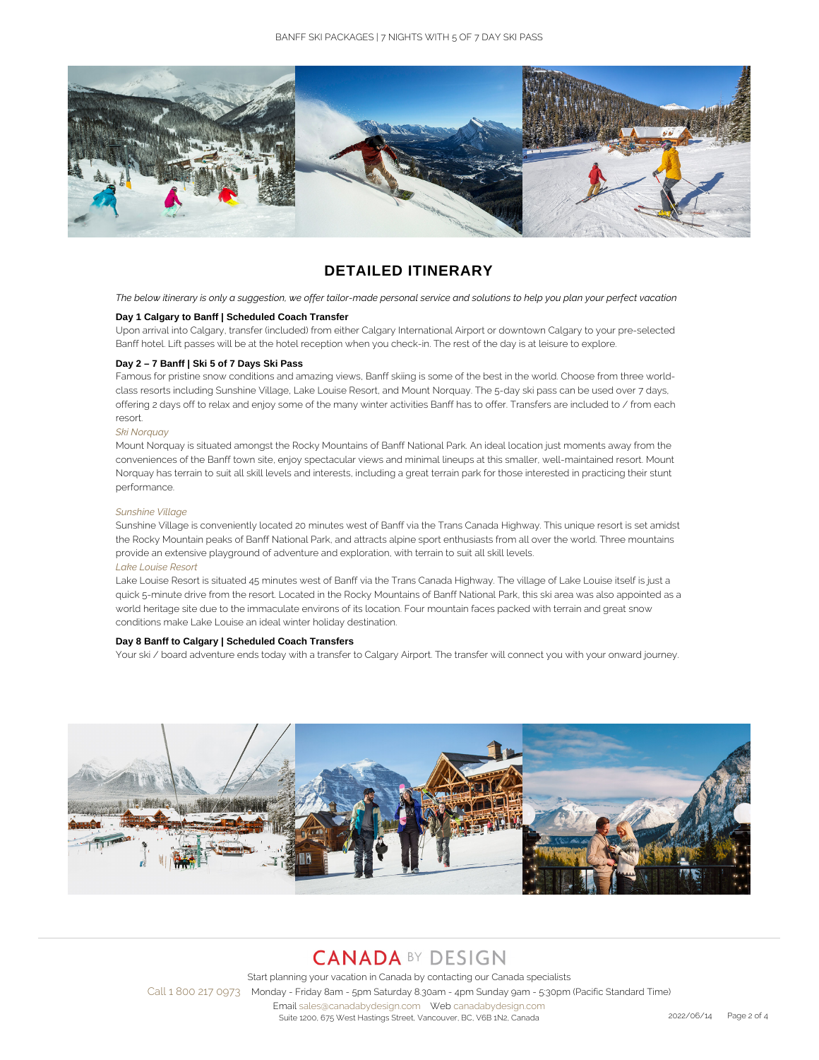

## **DETAILED ITINERARY**

*The below itinerary is only a suggestion, we offer tailor-made personal service and solutions to help you plan your perfect vacation*

### **Day 1 Calgary to Banff | Scheduled Coach Transfer**

Upon arrival into Calgary, transfer (included) from either Calgary International Airport or downtown Calgary to your pre-selected Banff hotel. Lift passes will be at the hotel reception when you check-in. The rest of the day is at leisure to explore.

### **Day 2 – 7 Banff | Ski 5 of 7 Days Ski Pass**

Famous for pristine snow conditions and amazing views, Banff skiing is some of the best in the world. Choose from three worldclass resorts including Sunshine Village, Lake Louise Resort, and Mount Norquay. The 5-day ski pass can be used over 7 days, offering 2 days off to relax and enjoy some of the many winter activities Banff has to offer. Transfers are included to / from each resort.

### *Ski Norquay*

Mount Norquay is situated amongst the Rocky Mountains of Banff National Park. An ideal location just moments away from the conveniences of the Banff town site, enjoy spectacular views and minimal lineups at this smaller, well-maintained resort. Mount Norquay has terrain to suit all skill levels and interests, including a great terrain park for those interested in practicing their stunt performance.

#### *Sunshine Village*

Sunshine Village is conveniently located 20 minutes west of Banff via the Trans Canada Highway. This unique resort is set amidst the Rocky Mountain peaks of Banff National Park, and attracts alpine sport enthusiasts from all over the world. Three mountains provide an extensive playground of adventure and exploration, with terrain to suit all skill levels. *Lake Louise Resort*

Lake Louise Resort is situated 45 minutes west of Banff via the Trans Canada Highway. The village of Lake Louise itself is just a quick 5-minute drive from the resort. Located in the Rocky Mountains of Banff National Park, this ski area was also appointed as a world heritage site due to the immaculate environs of its location. Four mountain faces packed with terrain and great snow conditions make Lake Louise an ideal winter holiday destination.

### **Day 8 Banff to Calgary | Scheduled Coach Transfers**

Your ski / board adventure ends today with a transfer to Calgary Airport. The transfer will connect you with your onward journey.



# **CANADA BY DESIGN**

Start planning your vacation in Canada by contacting our Canada specialists Call 1 800 217 0973 Monday - Friday 8am - 5pm Saturday 8.30am - 4pm Sunday 9am - 5:30pm (Pacific Standard Time) Email sales@canadabydesign.com Web canadabydesign.com Suite 1200, 675 West Hastings Street, Vancouver, BC, V6B 1N2, Canada 2022 2022/06/14 Page 2 of 4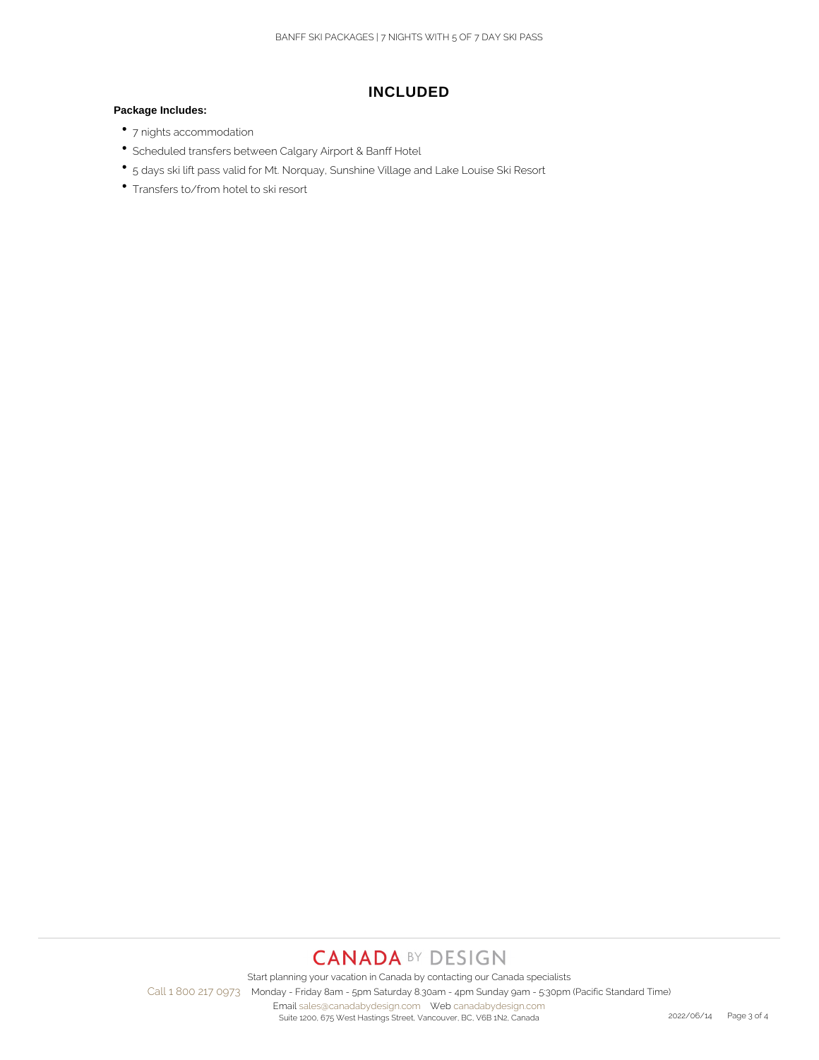## **INCLUDED**

### **Package Includes:**

- 7 nights accommodation
- Scheduled transfers between Calgary Airport & Banff Hotel
- 5 days ski lift pass valid for Mt. Norquay, Sunshine Village and Lake Louise Ski Resort
- Transfers to/from hotel to ski resort

# **CANADA BY DESIGN**

Start planning your vacation in Canada by contacting our Canada specialists Call 1 800 217 0973 Monday - Friday 8am - 5pm Saturday 8.30am - 4pm Sunday 9am - 5:30pm (Pacific Standard Time)